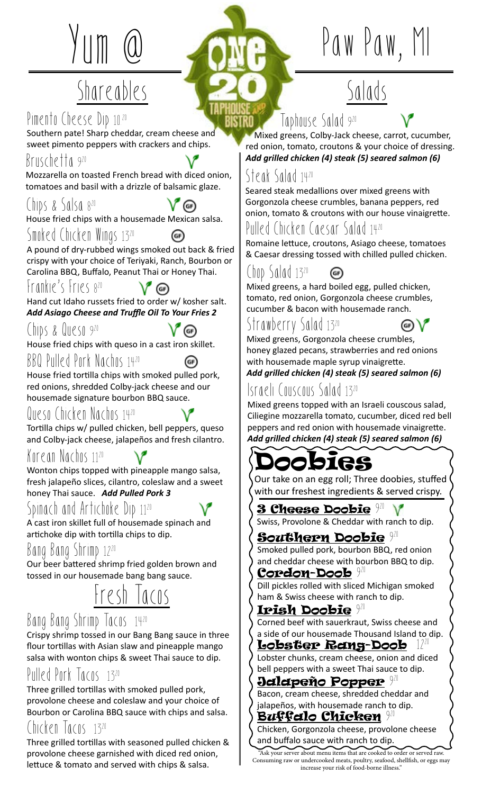## Shareables

### Pimento Cheese Dip 10.20

Southern pate! Sharp cheddar, cream cheese and sweet pimento peppers with crackers and chips.

#### Bruschetta 9 20

Mozzarella on toasted French bread with diced onion, tomatoes and basil with a drizzle of balsamic glaze.

### Chips & Salsa 820

House fried chips with a housemade Mexican salsa.

#### Smoked Chicken Wings 1320

A pound of dry-rubbed wings smoked out back & fried crispy with your choice of Teriyaki, Ranch, Bourbon or Carolina BBQ, Buffalo, Peanut Thai or Honey Thai.

 $V$  (ii)

 $V$  (GF)

#### Frankie's Fries 8 20

Hand cut Idaho russets fried to order w/ kosher salt. *Add Asiago Cheese and Truffle Oil To Your Fries 2* 

Chips & Queso 9 20

House fried chips with queso in a cast iron skillet.

#### BBQ Pulled Pork Nachos 1420

House fried tortilla chips with smoked pulled pork, red onions, shredded Colby-jack cheese and our housemade signature bourbon BBQ sauce.

#### Queso Chicken Nachos 1420

Tortilla chips w/ pulled chicken, bell peppers, queso and Colby-jack cheese, jalapeños and fresh cilantro.

#### Korean Nachos 1120

Wonton chips topped with pineapple mango salsa, fresh jalapeño slices, cilantro, coleslaw and a sweet honey Thai sauce. *Add Pulled Pork 3*

#### Spinach and Artichoke Dip 1120

A cast iron skillet full of housemade spinach and artichoke dip with tortilla chips to dip.

#### Bang Bang Shrimp 1220

Our beer battered shrimp fried golden brown and tossed in our housemade bang bang sauce.

## Fresh Tacos

#### Bang Bang Shrimp Tacos 1420

Crispy shrimp tossed in our Bang Bang sauce in three flour tortillas with Asian slaw and pineapple mango salsa with wonton chips & sweet Thai sauce to dip.

#### Pulled Pork Tacos 1320

Three grilled tortillas with smoked pulled pork, provolone cheese and coleslaw and your choice of Bourbon or Carolina BBQ sauce with chips and salsa.

#### Chicken lacos 1320

Three grilled tortillas with seasoned pulled chicken & provolone cheese garnished with diced red onion, lettuce & tomato and served with chips & salsa.

# Paw Paw,

## Salads

Taphouse Salad 9 20

 Mixed greens, Colby-Jack cheese, carrot, cucumber, red onion, tomato, croutons & your choice of dressing. *Add grilled chicken (4) steak (5) seared salmon (6)*

#### Steak Salad 1420

Seared steak medallions over mixed greens with Gorgonzola cheese crumbles, banana peppers, red onion, tomato & croutons with our house vinaigrette.

#### Pulled Chicken Caesar Salad 1420

Romaine lettuce, croutons, Asiago cheese, tomatoes & Caesar dressing tossed with chilled pulled chicken.

#### Chop Salad 1320 (GF)

Mixed greens, a hard boiled egg, pulled chicken, tomato, red onion, Gorgonzola cheese crumbles, cucumber & bacon with housemade ranch.

### Strawberry Salad 1320



Mixed greens, Gorgonzola cheese crumbles, honey glazed pecans, strawberries and red onions with housemade maple syrup vinaigrette. *Add grilled chicken (4) steak (5) seared salmon (6)*

### Israeli Couscous Salad 1320

Mixed greens topped with an Israeli couscous salad, Ciliegine mozzarella tomato, cucumber, diced red bell peppers and red onion with housemade vinaigrette. *Add grilled chicken (4) steak (5) seared salmon (6)*

## digs

Our take on an egg roll; Three doobies, stuffed with our freshest ingredients & served crispy.

3 Cheese Doobie <sup>941</sup> Swiss, Provolone & Cheddar with ranch to dip.

#### ${\bf S}$ outhern Doobie  $^{920}$

Smoked pulled pork, bourbon BBQ, red onion and cheddar cheese with bourbon BBQ to dip.

#### Cordon-Doob 9 20 Dill pickles rolled with sliced Michigan smoked

ham & Swiss cheese with ranch to dip.

#### $\boldsymbol{\text{Irish}}$  Doobie  $920$

Corned beef with sauerkraut, Swiss cheese and a side of our housemade Thousand Island to dip.

#### Lobster Rang-Doob

Lobster chunks, cream cheese, onion and diced bell peppers with a sweet Thai sauce to dip.

#### **Jalapeño Popper <sup>921</sup>**

Bacon, cream cheese, shredded cheddar and jalapeños, with housemade ranch to dip.

Buffalo Chicken <sup>920</sup> Chicken, Gorgonzola cheese, provolone cheese and buffalo sauce with ranch to dip.

"Ask your server about menu items that are cooked to order or served raw. Consuming raw or undercooked meats, poultry, seafood, shellfish, or eggs may increase your risk of food-borne illness."